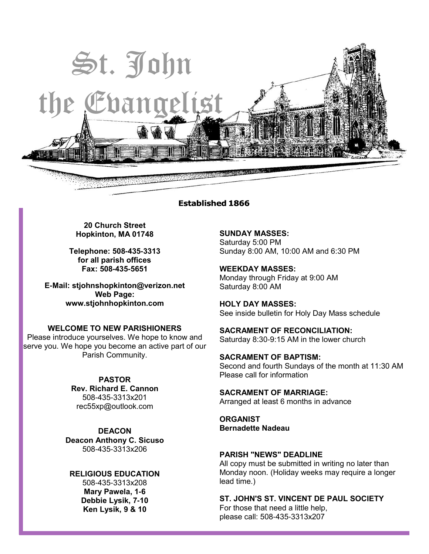

### **Established 1866**

**20 Church Street Hopkinton, MA 01748**

**Telephone: 508-435-3313 for all parish offices Fax: 508-435-5651**

**E-Mail: [stjohnshopkinton@verizon.net](mailto:stjohnshopkinton@verizon.net) Web Page: [www.stjohnhopkinton.com](http://www.stjohnhopkinton.com/)**

### **WELCOME TO NEW PARISHIONERS**

Please introduce yourselves. We hope to know and serve you. We hope you become an active part of our Parish Community.

> **PASTOR Rev. Richard E. Cannon** 508-435-3313x201 [rec55xp@outlook.com](mailto:rec55xp@outlook.com)

**DEACON Deacon Anthony C. Sicuso** 508-435-3313x206

### **RELIGIOUS EDUCATION**

508-435-3313x208 **Mary Pawela, 1-6 Debbie Lysik, 7-10 Ken Lysik, 9 & 10**

**SUNDAY MASSES:** Saturday 5:00 PM Sunday 8:00 AM, 10:00 AM and 6:30 PM

**WEEKDAY MASSES:** Monday through Friday at 9:00 AM Saturday 8:00 AM

**HOLY DAY MASSES:** See inside bulletin for Holy Day Mass schedule

**SACRAMENT OF RECONCILIATION:** Saturday 8:30-9:15 AM in the lower church

**SACRAMENT OF BAPTISM:** Second and fourth Sundays of the month at 11:30 AM Please call for information

**SACRAMENT OF MARRIAGE:** Arranged at least 6 months in advance

**ORGANIST Bernadette Nadeau**

## **PARISH "NEWS" DEADLINE**

All copy must be submitted in writing no later than Monday noon. (Holiday weeks may require a longer lead time.)

**ST. JOHN'S ST. VINCENT DE PAUL SOCIETY**

For those that need a little help, please call: 508-435-3313x207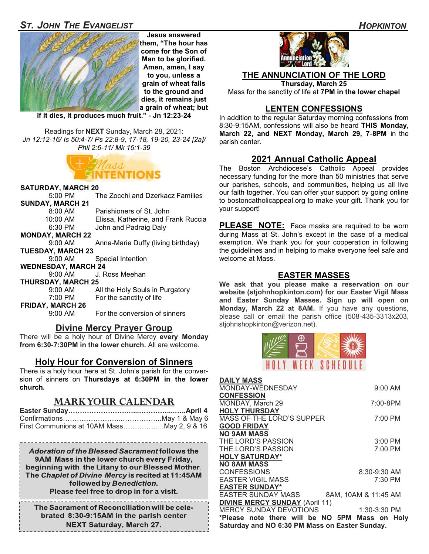## *ST. JOHN THE EVANGELIST HOPKINTON*





**Jesus answered them, "The hour has come for the Son of Man to be glorified. Amen, amen, I say** 

**to you, unless a grain of wheat falls to the ground and dies, it remains just a grain of wheat; but** 

**if it dies, it produces much fruit." - Jn 12:23-24** 

Readings for **NEXT** Sunday, March 28, 2021: *Jn 12:12-16/ Is 50:4-7/ Ps 22:8-9, 17-18, 19-20, 23-24 [2a]/ Phil 2:6-11/ Mk 15:1-39*



### **SATURDAY, MARCH 20**

 5:00 PM The Zocchi and Dzerkacz Families **SUNDAY, MARCH 21**

8:00 AM Parishioners of St. John

10:00 AM Elissa, Katherine, and Frank Ruccia

6:30 PM John and Padraig Daly

## **MONDAY, MARCH 22**

9:00 AM Anna-Marie Duffy (living birthday)

**TUESDAY, MARCH 23**

9:00 AM Special Intention

**WEDNESDAY, MARCH 24**

9:00 AM J. Ross Meehan

#### **THURSDAY, MARCH 25**

 9:00 AM All the Holy Souls in Purgatory 7:00 PM For the sanctity of life

#### **FRIDAY, MARCH 26**

9:00 AM For the conversion of sinners

## **Divine Mercy Prayer Group**

There will be a holy hour of Divine Mercy **every Monday from 6:30-7:30PM in the lower church.** All are welcome.

## **Holy Hour for Conversion of Sinners**

There is a holy hour here at St. John's parish for the conversion of sinners on **Thursdays at 6:30PM in the lower church.**

## **MARK YOUR CALENDAR**

**Adoration of the Blessed Sacrament follows the** 9AM Mass in the lower church every Friday, beginning with the Litany to our Blessed Mother. The Chaplet of Divine Mercy is recited at 11:45AM followed by Benediction. Please feel free to drop in for a visit.

The Sacrament of Reconciliation will be celebrated 8:30-9:15AM in the parish center **NEXT Saturday, March 27.** 



## **THE ANNUNCIATION OF THE LORD**

**Thursday, March 25**

Mass for the sanctity of life at **7PM in the lower chapel**

### **LENTEN CONFESSIONS**

In addition to the regular Saturday morning confessions from 8:30-9:15AM, confessions will also be heard **THIS Monday, March 22, and NEXT Monday, March 29, 7-8PM** in the parish center.

## **2021 Annual Catholic Appeal**

The Boston Archdiocese's Catholic Appeal provides necessary funding for the more than 50 ministries that serve our parishes, schools, and communities, helping us all live our faith together. You can offer your support by going online to bostoncatholicappeal.org to make your gift. Thank you for your support!

**PLEASE NOTE:** Face masks are required to be worn during Mass at St. John's except in the case of a medical exemption. We thank you for your cooperation in following the guidelines and in helping to make everyone feel safe and welcome at Mass.

### **EASTER MASSES**

**We ask that you please make a reservation on our website (stjohnhopkinton.com) for our Easter Vigil Mass and Easter Sunday Masses. Sign up will open on Monday, March 22 at 8AM.** If you have any questions, please call or email the parish office (508-435-3313x203, stjohnshopkinton@verizon.net).



| <b>DAILY MASS</b>                              |                  |  |
|------------------------------------------------|------------------|--|
| MONDAY-WEDNESDAY                               | $9:00$ AM        |  |
| <b>CONFESSION</b>                              |                  |  |
| MONDAY, March 29                               | 7:00-8PM         |  |
| <b>HOLY THURSDAY</b>                           |                  |  |
| MASS OF THE LORD'S SUPPER                      | 7:00 PM          |  |
| <b>GOOD FRIDAY</b>                             |                  |  |
| <b>NO 9AM MASS</b>                             |                  |  |
| THE LORD'S PASSION                             | $3:00$ PM        |  |
| THE LORD'S PASSION                             | 7:00 PM          |  |
| <b>HOLY SATURDAY*</b>                          |                  |  |
| NO 8AM MASS                                    |                  |  |
| <b>CONFESSIONS</b>                             | $8:30 - 9:30$ AM |  |
| <b>EASTER VIGIL MASS</b>                       | $7:30$ PM        |  |
| <b>EASTER SUNDAY*</b>                          |                  |  |
| EASTER SUNDAY MASS 8AM, 10AM & 11:45 AM        |                  |  |
| <b>DIVINE MERCY SUNDAY (April 11)</b>          |                  |  |
| MERCY SUNDAY DEVOTIONS 1:30-3:30 PM            |                  |  |
| *Please note there will be NO 5PM Mass on Holy |                  |  |
| Saturday and NO 6:30 PM Mass on Easter Sunday. |                  |  |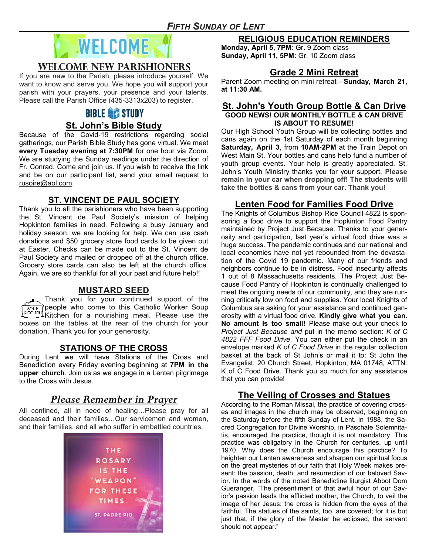

## **WELCOME NEW PARISHIONERS**

If you are new to the Parish, please introduce yourself. We want to know and serve you. We hope you will support your parish with your prayers, your presence and your talents. Please call the Parish Office (435-3313x203) to register.

# **BIBLE OF STUDY**

## **St. John's Bible Study**

Because of the Covid-19 restrictions regarding social gatherings, our Parish Bible Study has gone virtual. We meet **every Tuesday evening at 7:30PM** for one hour via Zoom. We are studying the Sunday readings under the direction of Fr. Conrad. Come and join us. If you wish to receive the link and be on our participant list, send your email request to [rusoire@aol.com.](mailto:rusoire@aol.com)

## **ST. VINCENT DE PAUL SOCIETY**

Thank you to all the parishioners who have been supporting the St. Vincent de Paul Society's mission of helping Hopkinton families in need. Following a busy January and holiday season, we are looking for help. We can use cash donations and \$50 grocery store food cards to be given out at Easter. Checks can be made out to the St. Vincent de Paul Society and mailed or dropped off at the church office. Grocery store cards can also be left at the church office. Again, we are so thankful for all your past and future help!!

## **MUSTARD SEED**

Thank you for your continued support of the Example ople who come to this Catholic Worker Soup boxes on the tables at the rear of the church for your donation. Thank you for your generosity.

## **STATIONS OF THE CROSS**

During Lent we will have Stations of the Cross and Benediction every Friday evening beginning at **7PM in the upper church**. Join us as we engage in a Lenten pilgrimage to the Cross with Jesus.

# *Please Remember in Prayer*

All confined, all in need of healing…Please pray for all deceased and their families…Our servicemen and women, and their families, and all who suffer in embattled countries.



## **RELIGIOUS EDUCATION REMINDERS**

**Monday, April 5, 7PM**: Gr. 9 Zoom class **Sunday, April 11, 5PM**: Gr. 10 Zoom class

# **Grade 2 Mini Retreat**

Parent Zoom meeting on mini retreat—**Sunday, March 21, at 11:30 AM.**

### **St. John's Youth Group Bottle & Can Drive GOOD NEWS! OUR MONTHLY BOTTLE & CAN DRIVE IS ABOUT TO RESUME!**

Our High School Youth Group will be collecting bottles and cans again on the 1st Saturday of each month beginning **Saturday, April 3**, from **10AM-2PM** at the Train Depot on West Main St. Your bottles and cans help fund a number of youth group events. Your help is greatly appreciated. St. John's Youth Ministry thanks you for your support. **Please remain in your car when dropping off! The students will take the bottles & cans from your car. Thank you!**

# **Lenten Food for Families Food Drive**

The Knights of Columbus Bishop Rice Council 4822 is sponsoring a food drive to support the Hopkinton Food Pantry maintained by Project Just Because. Thanks to your generosity and participation, last year's virtual food drive was a huge success. The pandemic continues and our national and local economies have not yet rebounded from the devastation of the Covid 19 pandemic. Many of our friends and neighbors continue to be in distress. Food insecurity affects 1 out of 8 Massachusetts residents. The Project Just Because Food Pantry of Hopkinton is continually challenged to meet the ongoing needs of our community, and they are running critically low on food and supplies. Your local Knights of Columbus are asking for your assistance and continued generosity with a virtual food drive. **Kindly give what you can. No amount is too small!** Please make out your check to *Project Just Because and* put in the memo section: *K of C 4822 FFF Food Drive*. You can either put the check in an envelope marked *K of C Food Drive* in the regular collection basket at the back of St John's or mail it to: St John the Evangelist, 20 Church Street, Hopkinton, MA 01748, ATTN: K of C Food Drive. Thank you so much for any assistance that you can provide!

## **The Veiling of Crosses and Statues**

According to the Roman Missal, the practice of covering crosses and images in the church may be observed, beginning on the Saturday before the fifth Sunday of Lent. In 1988, the Sacred Congregation for Divine Worship, in Paschale Solemnitatis, encouraged the practice, though it is not mandatory. This practice was obligatory in the Church for centuries, up until 1970. Why does the Church encourage this practice? To heighten our Lenten awareness and sharpen our spiritual focus on the great mysteries of our faith that Holy Week makes present: the passion, death, and resurrection of our beloved Savior. In the words of the noted Benedictine liturgist Abbot Dom Gueranger, "The presentiment of that awful hour of our Savior's passion leads the afflicted mother, the Church, to veil the image of her Jesus: the cross is hidden from the eyes of the faithful. The statues of the saints, too, are covered; for it is but just that, if the glory of the Master be eclipsed, the servant should not appear."